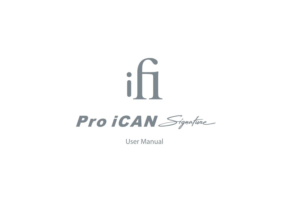# $i \Pi$ Pro *iCAN* Signature

User Manual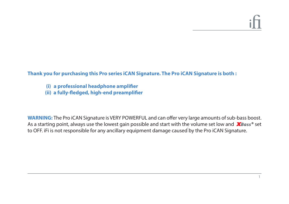**Thank you for purchasing this Pro series iCAN Signature. The Pro iCAN Signature is both :** 

**(i) a professional headphone amplifier** 

(ii) a fully-fledged, high-end preamplifier

**WARNING:** The Pro iCAN Signature is VERY POWERFUL and can offer very large amounts of sub-bass boost. As a starting point, always use the lowest gain possible and start with the volume set low and **X**Bass<sup>®</sup> set to OFF. iFi is not responsible for any ancillary equipment damage caused by the Pro iCAN Signature.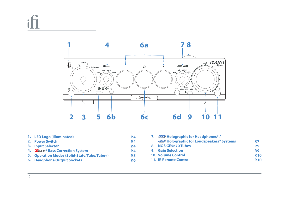ili



**LED Logo (illuminated) 1. Power Switch 2. Input Selector 3. 4. X**Bass<sup>®</sup> Bass Correction System **Operation Modes (Solid-State/Tube/Tube+) 5. Headphone Output Sockets 6. P.4 P.4 P.4 P.4 P.5 P.6**

| 7. 30 Holographic for Headphones <sup>®</sup> / |             |  |
|-------------------------------------------------|-------------|--|
| 3D Holographic for Loudspeakers® Systems        | <b>P.7</b>  |  |
| 8. NOS GE5670 Tubes                             | P.9         |  |
| 9. Gain Selection                               | P.9         |  |
| <b>10. Volume Control</b>                       | <b>P.10</b> |  |
| <b>11. IR Remote Control</b>                    | <b>P.10</b> |  |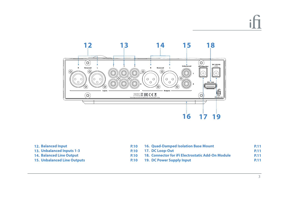# $\cdot$  1



| 12. Balanced Input                 |             | P.10 16. Quad-Damped Isolation Base Mount         |
|------------------------------------|-------------|---------------------------------------------------|
| 13. Unbalanced Inputs 1-3          |             | P.10 17. DC Loop-Out                              |
| <b>14. Balanced Line Output</b>    | <b>P.10</b> | 18. Connector for iFi Electrostatic Add-On Module |
| <b>15. Unbalanced Line Outputs</b> |             | P.10 19. DC Power Supply Input                    |
|                                    |             |                                                   |

**P.11 P.11 P.11 P.11**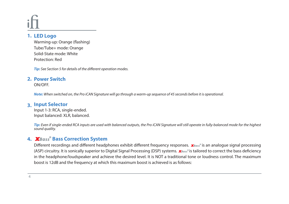#### **LED Logo 1.**

Warming-up: Orange (flashing) Tube/Tube+ mode: Orange Solid-State mode: White Protection: Red

*Tip: See Section 5 for details of the different operation modes.* 

#### **Power Switch 2.**

ON/OFF.

*Note: When switched on, the Pro iCAN Signature will go through a warm-up sequence of 45 seconds before it is operational.*

### **Input Selector 3.**

Input 1-3: RCA, single-ended. Input balanced: XLR, balanced.

*Tip: Even if single-ended RCA inputs are used with balanced outputs, the Pro iCAN Signature will still operate in fully-balanced mode for the highest sound quality.*

#### **Bass Correction System 4. ®**

Different recordings and different headphones exhibit different frequency responses. **X**Bass® is an analogue signal processing (ASP) circuitry. It is sonically superior to Digital Signal Processing (DSP) systems. **XBass®** is tailored to correct the bass deficiency in the headphone/loudspeaker and achieve the desired level. It is NOT a traditional tone or loudness control. The maximum boost is 12dB and the frequency at which this maximum boost is achieved is as follows: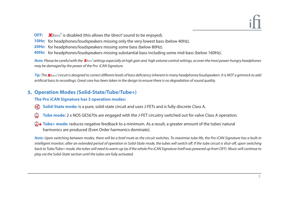- OFF: XBass<sup>®</sup> is disabled (this allows the 'direct' sound to be enjoyed).
- **10Hz:** for headphones/loudspeakers missing only the very lowest bass (below 40Hz).
- **20Hz:** for headphones/loudspeakers missing some bass (below 80Hz).
- **40Hz:** for headphones/loudspeakers missing substantial bass including some mid-bass (below 160Hz).

 $\blacksquare$  *Note: Please be careful with the*  $\mathbb{X}$ *Bass* $^s$ *settings especially at high gain and high volume control settings, as even the most power-hungry headphones may be damaged by the power of the Pro iCAN Signature.* 

*Tip: The circuit is designed to correct dierent levels of bass deciency inherent in many headphones/loudspeakers. It is NOT a gimmick to add*  **®***articial bass to recordings. Great care has been taken in the design to ensure there is no degradation of sound quality.*

#### **5. Operation Modes (Solid-State/Tube/Tube+)**

#### **The Pro iCAN Signature has 3 operation modes:**

- **Solid-State mode:** is a pure, solid-state circuit and uses J-FETs and is fully-discrete Class A.
- 白 **Tube mode:** 2 x NOS GE5670s are engaged with the J-FET circuitry switched out for valve Class A operation.
- **Tube+ mode:** reduces negative feedback to a minimum. As a result, a greater amount of the tubes' natural harmonics are produced (Even Order harmonics dominate).

*Note: Upon switching between modes, there will be a brief mute as the circuit switches. To maximise tube life, the Pro iCAN Signature has a built-in*  intelligent monitor; after an extended period of operation in Solid-State mode, the tubes will switch off. If the tube circuit is shut-off, upon switching back to Tube/Tube+ mode, the tubes will need to warm up (as if the whole Pro iCAN Signature itself was powered up from OFF). Music will continue to *play via the Solid-State section until the tubes are fully activated.*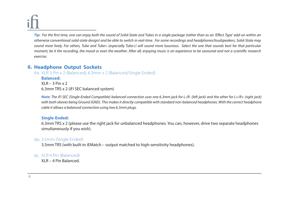*Tip: For the first time, one can enjoy both the sound of Solid-State and Tubes in a single package (rather than as an 'Effect Type' add-on within an otherwise conventional solid-state design) and be able to switch in real-time. For some recordings and headphones/loudspeakers, Solid-State may sound more lively. For others, Tube and Tube+ (especially Tube+) will sound more luxurious. Select the one that sounds best for that particular moment, be it the recording, the mood or even the weather. After all, enjoying music is an experience to be savoured and not a scientific research exercise.*

#### **6. Headphone Output Sockets**

6a. XLR 3 Pin x 2 (Balanced), 6.3mm x 2 (Balanced/Single Ended)

**Balanced:**   $XIR - 3 Pin x 2$ 6.3mm TRS x 2 (iFi SEC balanced system)

*Note: The iFi SEC (Single-Ended Compatible) balanced connection uses one 6.3mm jack for L-/R- (left jack) and the other for L+/R+ (right jack)*  with both sleeves being Ground (GND). This makes it directly compatible with standard non-balanced headphones. With the correct headphone *cable it allows a balanced connection using two 6.3mm plugs.*

#### **Single-Ended:**

6.3mm TRS x 2 (please use the right jack for unbalanced headphones. You can, however, drive two separate headphones simultaneously if you wish).

#### 6b. 3.5mm (Single Ended)

3.5mm TRS (with built-in iEMatch – output matched to high-sensitivity headphones).

#### 6c. XLR 4 Pin (Balanced)

XLR – 4 Pin Balanced.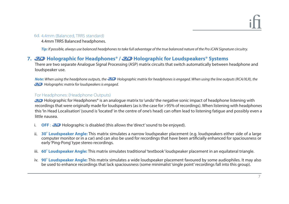#### 6d. 4.4mm (Balanced, TRRS standard)

4.4mm TRRS Balanced headphones.

*Tip: If possible, always use balanced headphones to take full advantage of the true balanced nature of the Pro iCAN Signature circuitry.*

# **Holographic for Headphones® / Holographic for Loudspeakers® Systems 7.**

There are two separate Analogue Signal Processing (ASP) matrix circuits that switch automatically between headphone and loudspeaker use.

*Note: When using the headphone outputs, the 32* **Holographic matrix for headphones is engaged. When using the line outputs (RCA/XLR), the 30** Holographic matrix for loudspeakers is engaged.

#### For Headphones: (Headphone Outputs)

Holographic for Headphones® is an analogue matrix to 'undo' the negative sonic impact of headphone listening with recordings that were originally made for loudspeakers (as is the case for >95% of recordings). When listening with headphones this 'In Head Localisation' (sound is 'located' in the centre of one's head) can often lead to listening fatigue and possibly even a little nausea.

- i. **OFF**: 32 Holographic is disabled (this allows the 'direct' sound to be enjoyed).
- ii. **30° Loudspeaker Angle:** This matrix simulates a narrow loudspeaker placement (e.g. loudspeakers either side of a large computer monitor or in a car) and can also be used for recordings that have been artificially enhanced for spaciousness or early 'Ping-Pong' type stereo recordings.
- iii. 60° Loudspeaker Angle: This matrix simulates traditional 'textbook' loudspeaker placement in an equilateral triangle.
- **90˚ Loudspeaker Angle:** This matrix simulates a wide loudspeaker placement favoured by some audiophiles. It may also iv. be used to enhance recordings that lack spaciousness (some minimalist 'single point' recordings fall into this group).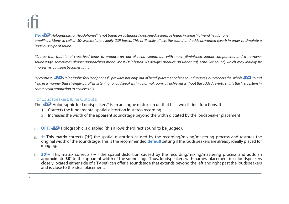*Tip: Holographic for Headphones*® *is not based on a standard cross-feed system, as found in some high-end headphone* amplifiers. Many so called '3D systems' are usually DSP based. This artificially effects the sound and adds unwanted reverb in order to simulate a *'spacious' type of sound.* 

It's true that traditional cross-feed tends to produce an 'out of head' sound, but with much diminished spatial components and a narrower *soundstage, sometimes almost approaching mono. Most DSP based 3D designs produce an unnatural, echo-like sound, which may initially be impressive, but soon becomes tiring.*

By contrast, **3D** Holographic for Headphones<sup>®</sup>, provides not only 'out of head' placement of the sound sources, but renders the whole 3D sound field in a manner that strongly parallels listening to loudspeakers in a normal room, all achieved without the added reverb. This is the first system in *commercial production to achieve this.*

#### For Loudspeakers: (Line Outputs)

The  $\mathcal{Z}$  Holographic for Loudspeakers® is an analogue matrix circuit that has two distinct functions. It

- 1. Corrects the fundamental spatial distortion in stereo recording
- 2. Increases the width of the apparent soundstage beyond the width dictated by the loudspeaker placement
- **OFF:** 30 Holographic is disabled (this allows the 'direct' sound to be judged). i.
- ii. +: This matrix corrects ('+') the spatial distortion caused by the recording/mixing/mastering process and restores the original width of the soundstage. This is the recommended **default**setting if the loudspeakers are already ideally placed for imaging.
- iii. 30<sup>°</sup>+: This matrix corrects ('+') the spatial distortion caused by the recording/mixing/mastering process and adds an approximate **30˚** to the apparent width of the soundstage. Thus, loudspeakers with narrow placement (e.g. loudspeakers closely located either side of a TV set) can offer a soundstage that extends beyond the left and right past the loudspeakers and is close to the ideal placement.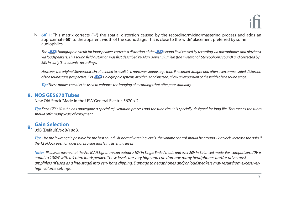iv. **60˚+**: This matrix corrects ('+') the spatial distortion caused by the recording/mixing/mastering process and adds an approximate **60˚** to the apparent width of the soundstage. This is close to the 'wide' placement preferred by some audiophiles.

*The 32* Holographic circuit for loudspeakers corrects a distortion of the 32 sound field caused by recording via microphones and playback via loudspeakers. This sound field distortion was first described by Alan Dower Blumlein (the inventor of Stereophonic sound) and corrected by *EMI in early 'Stereosonic' recordings.*

*However, the original Stereosonic circuit tended to result in a narrower soundstage than if recorded straight and often overcompensated distortion of the soundstage perspective. iFi's Holographic systems avoid this and instead, allow an expansion of the width of the sound stage.*

*Tip: These modes can also be used to enhance the imaging of recordings that offer poor spatiality.* 

#### **NOS GE5670 Tubes 8.**

New Old Stock 'Made in the USA' General Electric 5670 x 2.

*Tip: Each GE5670 tube has undergone a special rejuvenation process and the tube circuit is specially-designed for long life. This means the tubes*  should offer many years of enjoyment.

#### **Gain Selection 9.**

0dB (Default)/9dB/18dB.

*Tip: Use the lowest gain possible for the best sound. At normal listening levels, the volume control should be around 12 o'clock. Increase the gain if the 12 o'clock position does not provide satisfying listening levels.*

*Note: Please be aware that the Pro iCAN Signature can output >10V in Single Ended mode and over 20V in Balanced mode. For comparison, 20V is equal to 100W with a 4 ohm loudspeaker. These levels are very high and can damage many headphones and/or drive most*  amplifiers (if used as a line-stage) into very hard clipping. Damage to headphones and/or loudspeakers may result from excessively *high volume settings.*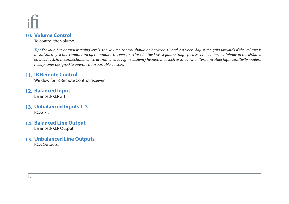#### 10. Volume Control

To control the volume.

*Tip: For loud but normal listening levels, the volume control should be between 10 and 2 o'clock. Adjust the gain upwards if the volume is unsatisfactory. If one cannot turn up the volume to even 10 o'clock (at the lowest gain setting), please connect the headphone to the iEMatch embedded 3.5mm connections, which are matched to high-sensitivity headphones such as in-ear-monitors and other high-sensitivity modern headphones designed to operate from portable devices.*

# **11. IR Remote Control**

Window for IR Remote Control receiver.

12. **Balanced Input** 

Balanced/XLR x 1.

- **Unbalanced Inputs 1-3 13.**   $RCAs \times 3$ .
- 14. **Balanced Line Output**

Balanced/XLR Output.

**Unbalanced Line Outputs 15.** RCA Outputs.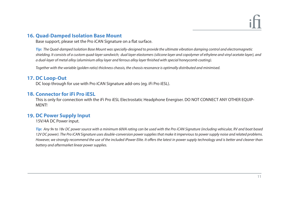### **16. Quad-Damped Isolation Base Mount**

Base support, please set the Pro iCAN Signature on a flat surface.

*Tip: The Quad-damped Isolation Base Mount was specially-designed to provide the ultimate vibration damping control and electromagnetic shielding. It consists of a custom quad-layer sandwich; dual layer elastomers (silicone layer and copolymer of ethylene and vinyl acetate layer), and a dual-layer of metal alloy (aluminium alloy layer and ferrous alloy layer nished with special honeycomb coating).*

*Together with the variable (golden ratio) thickness chassis, the chassis resonance is optimally distributed and minimised.*

#### 17. DC Loop-Out

DC loop through for use with Pro iCAN Signature add-ons (eg. iFi Pro iESL).

#### 18. Connector for iFi Pro iESL

This is only for connection with the iFi Pro iESL Electrostatic Headphone Energiser. DO NOT CONNECT ANY OTHER EQUIP-MENT!

#### **19. DC Power Supply Input**

15V/4A DC Power input.

*Tip: Any 9v to 18v DC power source with a minimum 60VA rating can be used with the Pro iCAN Signature (including vehicular, RV and boat based 12V DC power). The Pro iCAN Signature uses double-conversion power supplies that make it impervious to power supply noise and related problems.*  However, we strongly recommend the use of the included iPower Elite. It offers the latest in power supply technology and is better and cleaner than *battery and aftermarket linear power supplies.*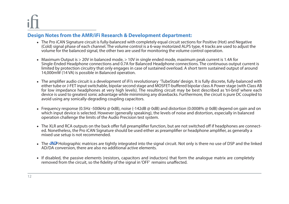#### **Design Notes from the AMR/iFi Research & Development department:**

- The Pro iCAN Signature circuit is fully-balanced with completely equal circuit sections for Positive (Hot) and Negative (Cold) signal phase of each channel. The volume control is a 6-way motorized ALPS type, 4 tracks are used to adjust the volume for the balanced signal, the other two are used for monitoring the volume control operation.
- Maximum Output is > 20V in balanced mode, > 10V in single ended mode, maximum peak current is 1.4A for Single-Ended Headphone connections and 0.7A for Balanced Headphone connections. The continuous output current is limited by protection circuitry that only engages in case of sustained overload. A short term sustained output of around 14,000mW (14 VA) is possible in Balanced operation.
- The amplifier audio circuit is a development of iFi's revolutionary 'TubeState' design. It is fully discrete, fully-balanced with either tube or J-FET input switchable, bipolar second stage and MOSFET-buffered bipolar class A Power stage (with Class AB for low impedance headphones at very high levels). The resulting circuit may be best described as 'tri-brid' where each device is used to greatest sonic advantage while minimising any drawbacks. Furthermore, the circuit is pure DC coupled to avoid using any sonically-degrading coupling capacitors.
- Frequency response (0.5Hz -500kHz @ 0dB), noise (-142dB @ 0dB) and distortion (0.0008% @ 0dB) depend on gain and on which input device is selected. However (generally speaking), the levels of noise and distortion, especially in balanced operation challenge the limits of the Audio Precision test system.
- The XLR and RCA outputs on the back offer full preamplifier function, but are not switched off if headphones are connected. Nonetheless, the Pro iCAN Signature should be used either as preamplifier or headphone amplifier, as generally a mixed use setup is not recommended.
- The  $32$  Holographic matrices are tightly integrated into the signal circuit. Not only is there no use of DSP and the linked AD/DA conversion, there are also no additional active elements.
- If disabled, the passive elements (resistors, capacitors and inductors) that form the analogue matrix are completely removed from the circuit, so the fidelity of the signal in 'OFF' remains unaffected.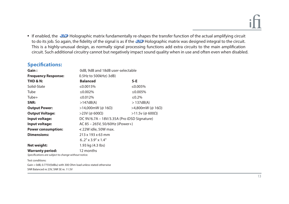• If enabled, the 32 Holographic matrix fundamentally re-shapes the transfer function of the actual amplifying circuit to do its job. So again, the fidelity of the signal is as if the 30 Holographic matrix was designed integral to the circuit. This is a highly-unusual design, as normally signal processing functions add extra circuits to the main amplification circuit. Such additional circuitry cannot but negatively impact sound quality when in use and often even when disabled.

#### **Specifications:**

| Gain:                                                | 0dB, 9dB and 18dB user-selectable           |                  |  |  |  |
|------------------------------------------------------|---------------------------------------------|------------------|--|--|--|
| <b>Frequency Response:</b>                           | 0.5Hz to 500kHz(-3dB)                       |                  |  |  |  |
| <b>THD &amp; N:</b>                                  | <b>Balanced</b>                             | S-E              |  |  |  |
| Solid-State                                          | ≤0.0015%                                    | ≤0.005%          |  |  |  |
| Tube                                                 | ≤0.002%                                     | ≤0.005%          |  |  |  |
| Tube+                                                | ≤0.012%                                     | ≤0.2%            |  |  |  |
| SNR:                                                 | >147dB(A)                                   | >137dB(A)        |  |  |  |
| <b>Output Power:</b>                                 | >14,000mW (@ 16Ω)                           | >4,800mW (@ 16Ω) |  |  |  |
| <b>Output Voltage:</b>                               | $>$ 23V (@ 600 $\Omega$ )                   | >11.5ν (@ 600Ω)  |  |  |  |
| Input voltage:                                       | DC 9V/6.7A – 18V/3.35A (Pro iDSD Signature) |                  |  |  |  |
| Input voltage:                                       | AC 85 - 265V, 50/60Hz (iPower+)             |                  |  |  |  |
| <b>Power consumption:</b>                            | < 22W idle, 50W max.                        |                  |  |  |  |
| <b>Dimensions:</b>                                   | 213 x 193 x 63 mm                           |                  |  |  |  |
|                                                      | $6.2" \times 3.9" \times 1.4"$              |                  |  |  |  |
| Net weight:                                          | 1.93 kg (4.3 lbs)                           |                  |  |  |  |
| <b>Warranty period:</b>                              | 12 months                                   |                  |  |  |  |
| Specifications are subject to change without notice. |                                             |                  |  |  |  |

Test conditions:

Gain = 0dB, 0.775V(0dBu) with 300 Ohm load unless stated otherwise SNR Balanced re 23V, SNR SE re. 11.5V